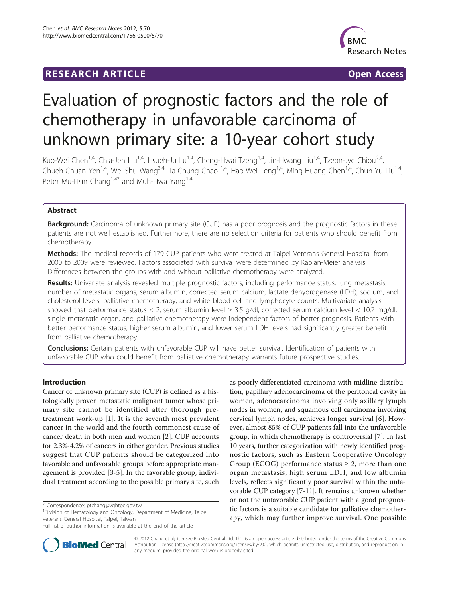# **RESEARCH ARTICLE Example 2018 Open Access**



# Evaluation of prognostic factors and the role of chemotherapy in unfavorable carcinoma of unknown primary site: a 10-year cohort study

Kuo-Wei Chen<sup>1,4</sup>, Chia-Jen Liu<sup>1,4</sup>, Hsueh-Ju Lu<sup>1,4</sup>, Cheng-Hwai Tzeng<sup>1,4</sup>, Jin-Hwang Liu<sup>1,4</sup>, Tzeon-Jye Chiou<sup>2,4</sup>, Chueh-Chuan Yen<sup>1,4</sup>, Wei-Shu Wang<sup>3,4</sup>, Ta-Chung Chao <sup>1,4</sup>, Hao-Wei Teng<sup>1,4</sup>, Ming-Huang Chen<sup>1,4</sup>, Chun-Yu Liu<sup>1,4</sup>, Peter Mu-Hsin Chang<sup>1,4\*</sup> and Muh-Hwa Yang<sup>1,4</sup>

# Abstract

Background: Carcinoma of unknown primary site (CUP) has a poor prognosis and the prognostic factors in these patients are not well established. Furthermore, there are no selection criteria for patients who should benefit from chemotherapy.

Methods: The medical records of 179 CUP patients who were treated at Taipei Veterans General Hospital from 2000 to 2009 were reviewed. Factors associated with survival were determined by Kaplan-Meier analysis. Differences between the groups with and without palliative chemotherapy were analyzed.

Results: Univariate analysis revealed multiple prognostic factors, including performance status, lung metastasis, number of metastatic organs, serum albumin, corrected serum calcium, lactate dehydrogenase (LDH), sodium, and cholesterol levels, palliative chemotherapy, and white blood cell and lymphocyte counts. Multivariate analysis showed that performance status < 2, serum albumin level ≥ 3.5 g/dl, corrected serum calcium level < 10.7 mg/dl, single metastatic organ, and palliative chemotherapy were independent factors of better prognosis. Patients with better performance status, higher serum albumin, and lower serum LDH levels had significantly greater benefit from palliative chemotherapy.

Conclusions: Certain patients with unfavorable CUP will have better survival. Identification of patients with unfavorable CUP who could benefit from palliative chemotherapy warrants future prospective studies.

# Introduction

Cancer of unknown primary site (CUP) is defined as a histologically proven metastatic malignant tumor whose primary site cannot be identified after thorough pretreatment work-up [[1](#page-8-0)]. It is the seventh most prevalent cancer in the world and the fourth commonest cause of cancer death in both men and women [\[2\]](#page-8-0). CUP accounts for 2.3%-4.2% of cancers in either gender. Previous studies suggest that CUP patients should be categorized into favorable and unfavorable groups before appropriate management is provided [[3-5](#page-8-0)]. In the favorable group, individual treatment according to the possible primary site, such

<sup>1</sup> Division of Hematology and Oncology, Department of Medicine, Taipei Veterans General Hospital, Taipei, Taiwan

Full list of author information is available at the end of the article





© 2012 Chang et al; licensee BioMed Central Ltd. This is an open access article distributed under the terms of the Creative Commons Attribution License [\(http://creativecommons.org/licenses/by/2.0](http://creativecommons.org/licenses/by/2.0)), which permits unrestricted use, distribution, and reproduction in any medium, provided the original work is properly cited.

<sup>\*</sup> Correspondence: [ptchang@vghtpe.gov.tw](mailto:ptchang@vghtpe.gov.tw)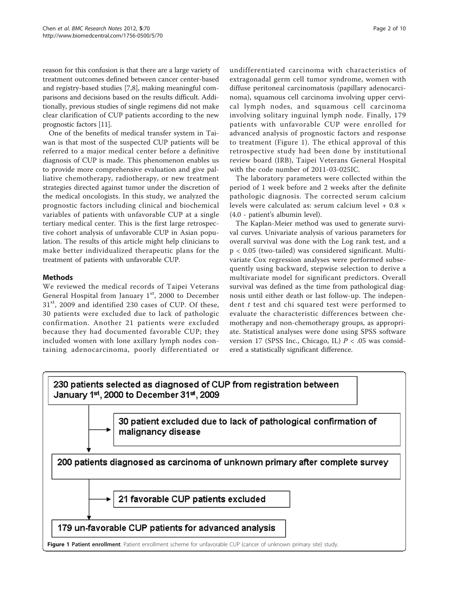reason for this confusion is that there are a large variety of treatment outcomes defined between cancer center-based and registry-based studies [\[7,8\]](#page-8-0), making meaningful comparisons and decisions based on the results difficult. Additionally, previous studies of single regimens did not make clear clarification of CUP patients according to the new prognostic factors [[11](#page-9-0)].

One of the benefits of medical transfer system in Taiwan is that most of the suspected CUP patients will be referred to a major medical center before a definitive diagnosis of CUP is made. This phenomenon enables us to provide more comprehensive evaluation and give palliative chemotherapy, radiotherapy, or new treatment strategies directed against tumor under the discretion of the medical oncologists. In this study, we analyzed the prognostic factors including clinical and biochemical variables of patients with unfavorable CUP at a single tertiary medical center. This is the first large retrospective cohort analysis of unfavorable CUP in Asian population. The results of this article might help clinicians to make better individualized therapeutic plans for the treatment of patients with unfavorable CUP.

# Methods

We reviewed the medical records of Taipei Veterans General Hospital from January  $1<sup>st</sup>$ , 2000 to December 31st, 2009 and identified 230 cases of CUP. Of these, 30 patients were excluded due to lack of pathologic confirmation. Another 21 patients were excluded because they had documented favorable CUP; they included women with lone axillary lymph nodes containing adenocarcinoma, poorly differentiated or

undifferentiated carcinoma with characteristics of extragonadal germ cell tumor syndrome, women with diffuse peritoneal carcinomatosis (papillary adenocarcinoma), squamous cell carcinoma involving upper cervical lymph nodes, and squamous cell carcinoma involving solitary inguinal lymph node. Finally, 179 patients with unfavorable CUP were enrolled for advanced analysis of prognostic factors and response to treatment (Figure 1). The ethical approval of this retrospective study had been done by institutional review board (IRB), Taipei Veterans General Hospital with the code number of 2011-03-025IC.

The laboratory parameters were collected within the period of 1 week before and 2 weeks after the definite pathologic diagnosis. The corrected serum calcium levels were calculated as: serum calcium level + 0.8 × (4.0 - patient's albumin level).

The Kaplan-Meier method was used to generate survival curves. Univariate analysis of various parameters for overall survival was done with the Log rank test, and a p < 0.05 (two-tailed) was considered significant. Multivariate Cox regression analyses were performed subsequently using backward, stepwise selection to derive a multivariate model for significant predictors. Overall survival was defined as the time from pathological diagnosis until either death or last follow-up. The independent t test and chi squared test were performed to evaluate the characteristic differences between chemotherapy and non-chemotherapy groups, as appropriate. Statistical analyses were done using SPSS software version 17 (SPSS Inc., Chicago, IL)  $P < .05$  was considered a statistically significant difference.

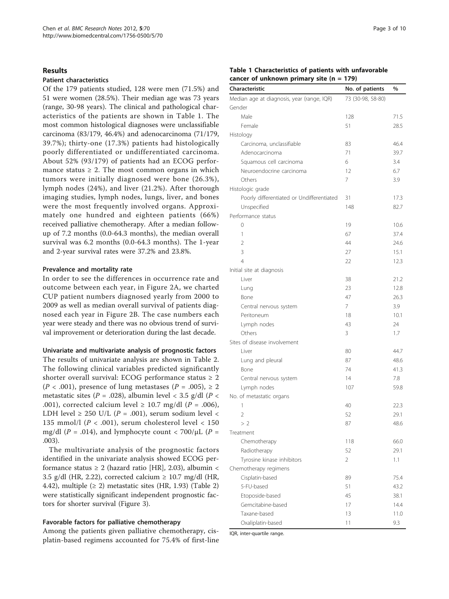#### Results

## Patient characteristics

Of the 179 patients studied, 128 were men (71.5%) and 51 were women (28.5%). Their median age was 73 years (range, 30-98 years). The clinical and pathological characteristics of the patients are shown in Table 1. The most common histological diagnoses were unclassifiable carcinoma (83/179, 46.4%) and adenocarcinoma (71/179, 39.7%); thirty-one (17.3%) patients had histologically poorly differentiated or undifferentiated carcinoma. About 52% (93/179) of patients had an ECOG performance status  $\geq$  2. The most common organs in which tumors were initially diagnosed were bone (26.3%), lymph nodes (24%), and liver (21.2%). After thorough imaging studies, lymph nodes, lungs, liver, and bones were the most frequently involved organs. Approximately one hundred and eighteen patients (66%) received palliative chemotherapy. After a median followup of 7.2 months (0.0-64.3 months), the median overall survival was 6.2 months (0.0-64.3 months). The 1-year and 2-year survival rates were 37.2% and 23.8%.

#### Prevalence and mortality rate

In order to see the differences in occurrence rate and outcome between each year, in Figure [2A,](#page-3-0) we charted CUP patient numbers diagnosed yearly from 2000 to 2009 as well as median overall survival of patients diagnosed each year in Figure [2B.](#page-3-0) The case numbers each year were steady and there was no obvious trend of survival improvement or deterioration during the last decade.

# Univariate and multivariate analysis of prognostic factors

The results of univariate analysis are shown in Table [2](#page-4-0). The following clinical variables predicted significantly shorter overall survival: ECOG performance status  $\geq 2$  $(P < .001)$ , presence of lung metastases  $(P = .005)$ ,  $\geq 2$ metastatic sites ( $P = .028$ ), albumin level < 3.5 g/dl ( $P$  < .001), corrected calcium level  $\geq$  10.7 mg/dl (P = .006), LDH level  $\geq$  250 U/L (P = .001), serum sodium level < 135 mmol/l ( $P < .001$ ), serum cholesterol level  $< 150$ mg/dl (P = .014), and lymphocyte count < 700/ $\mu$ L (P = .003).

The multivariate analysis of the prognostic factors identified in the univariate analysis showed ECOG performance status  $\geq 2$  (hazard ratio [HR], 2.03), albumin < 3.5 g/dl (HR, 2.22), corrected calcium  $\geq$  10.7 mg/dl (HR, 4.42), multiple  $(≥ 2)$  $(≥ 2)$  $(≥ 2)$  metastatic sites (HR, 1.93) (Table 2) were statistically significant independent prognostic factors for shorter survival (Figure [3\)](#page-6-0).

## Favorable factors for palliative chemotherapy

Among the patients given palliative chemotherapy, cisplatin-based regimens accounted for 75.4% of first-line

### Table 1 Characteristics of patients with unfavorable cancer of unknown primary site  $(n = 179)$

| Characteristic                             | No. of patients   | $\%$ |
|--------------------------------------------|-------------------|------|
|                                            |                   |      |
| Median age at diagnosis, year (range, IQR) | 73 (30-98, 58-80) |      |
| Gender                                     |                   |      |
| Male                                       | 128               | 71.5 |
| Female                                     | 51                | 28.5 |
| Histology                                  |                   |      |
| Carcinoma, unclassifiable                  | 83                | 46.4 |
| Adenocarcinoma                             | 71                | 39.7 |
| Squamous cell carcinoma                    | 6                 | 3.4  |
| Neuroendocrine carcinoma                   | 12                | 6.7  |
| Others                                     | 7                 | 3.9  |
| Histologic grade                           |                   |      |
| Poorly differentiated or Undifferentiated  | 31                | 17.3 |
| Unspecified                                | 148               | 82.7 |
| Performance status                         |                   |      |
| 0                                          | 19                | 10.6 |
| 1                                          | 67                | 37.4 |
| $\overline{2}$                             | 44                | 24.6 |
| 3                                          | 27                | 15.1 |
| $\overline{4}$                             | 22                | 12.3 |
| Initial site at diagnosis                  |                   |      |
| Liver                                      | 38                | 21.2 |
| Lung                                       | 23                | 12.8 |
| Bone                                       | 47                | 26.3 |
| Central nervous system                     | 7                 | 3.9  |
| Peritoneum                                 | 18                | 10.1 |
| Lymph nodes                                | 43                | 24   |
| Others                                     | 3                 | 1.7  |
| Sites of disease involvement               |                   |      |
| Liver                                      | 80                | 44.7 |
| Lung and pleural                           | 87                | 48.6 |
| Bone                                       | 74                | 41.3 |
| Central nervous system                     | 14                | 7.8  |
| Lymph nodes                                | 107               | 59.8 |
| No. of metastatic organs                   |                   |      |
| 1                                          | 40                | 22.3 |
| $\overline{2}$                             | 52                | 29.1 |
| >2                                         | 87                | 48.6 |
| Treatment                                  |                   |      |
| Chemotherapy                               | 118               | 66.0 |
| Radiotherapy                               | 52                | 29.1 |
| Tyrosine kinase inhibitors                 | 2                 | 1.1  |
| Chemotherapy regimens                      |                   |      |
| Cisplatin-based                            | 89                | 75.4 |
| 5-FU-based                                 | 51                | 43.2 |
| Etoposide-based                            | 45                | 38.1 |
| Gemcitabine-based                          | 17                | 14.4 |
| Taxane-based                               | 13                | 11.0 |
| Oxaliplatin-based                          | 11                | 9.3  |

IQR, inter-quartile range.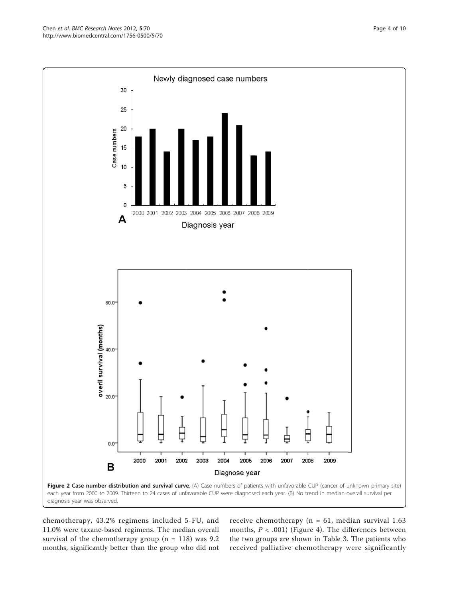chemotherapy, 43.2% regimens included 5-FU, and 11.0% were taxane-based regimens. The median overall survival of the chemotherapy group ( $n = 118$ ) was 9.2 months, significantly better than the group who did not

receive chemotherapy ( $n = 61$ , median survival 1.63 months,  $P < .001$ ) (Figure [4](#page-7-0)). The differences between the two groups are shown in Table [3](#page-8-0). The patients who received palliative chemotherapy were significantly

<span id="page-3-0"></span>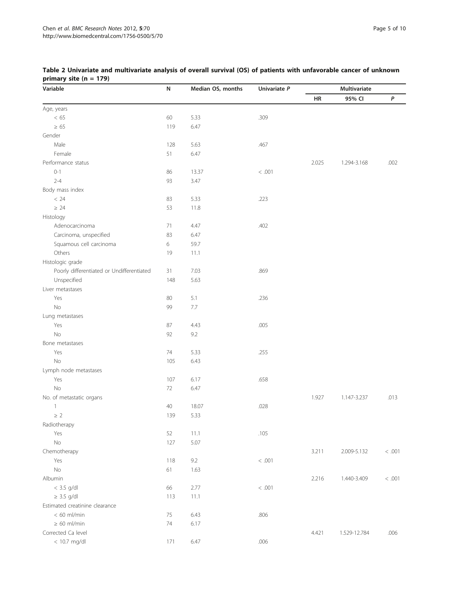| Variable                                  | ${\sf N}$ | Median OS, months | Univariate P |       | Multivariate |        |
|-------------------------------------------|-----------|-------------------|--------------|-------|--------------|--------|
|                                           |           |                   |              | HR    | 95% CI       | P      |
| Age, years                                |           |                   |              |       |              |        |
| < 65                                      | 60        | 5.33              | .309         |       |              |        |
| $\geq 65$                                 | 119       | 6.47              |              |       |              |        |
| Gender                                    |           |                   |              |       |              |        |
| Male                                      | 128       | 5.63              | .467         |       |              |        |
| Female                                    | 51        | 6.47              |              |       |              |        |
| Performance status                        |           |                   |              | 2.025 | 1.294-3.168  | .002   |
| $0 - 1$                                   | 86        | 13.37             | $<.001$      |       |              |        |
| $2 - 4$                                   | 93        | 3.47              |              |       |              |        |
| Body mass index                           |           |                   |              |       |              |        |
| < 24                                      | 83        | 5.33              | .223         |       |              |        |
| $\geq 24$                                 | 53        | 11.8              |              |       |              |        |
| Histology                                 |           |                   |              |       |              |        |
| Adenocarcinoma                            | 71        | 4.47              | .402         |       |              |        |
| Carcinoma, unspecified                    | 83        | 6.47              |              |       |              |        |
| Squamous cell carcinoma                   | 6         | 59.7              |              |       |              |        |
| Others                                    | 19        | 11.1              |              |       |              |        |
| Histologic grade                          |           |                   |              |       |              |        |
| Poorly differentiated or Undifferentiated | 31        | 7.03              | .869         |       |              |        |
| Unspecified                               | 148       | 5.63              |              |       |              |        |
| Liver metastases                          |           |                   |              |       |              |        |
| Yes                                       | 80        | 5.1               | .236         |       |              |        |
| No                                        | 99        | $7.7\,$           |              |       |              |        |
| Lung metastases                           |           |                   |              |       |              |        |
| Yes                                       | 87        | 4.43              | .005         |       |              |        |
| No                                        | 92        | 9.2               |              |       |              |        |
| Bone metastases                           |           |                   |              |       |              |        |
| Yes                                       | 74        | 5.33              | .255         |       |              |        |
| No                                        | 105       | 6.43              |              |       |              |        |
| Lymph node metastases                     |           |                   |              |       |              |        |
| Yes                                       | 107       | 6.17              | .658         |       |              |        |
| No                                        | 72        | 6.47              |              |       |              |        |
| No. of metastatic organs                  |           |                   |              | 1.927 | 1.147-3.237  | .013   |
| 1                                         | 40        | 18.07             | .028         |       |              |        |
| $\geq 2$                                  | 139       | 5.33              |              |       |              |        |
| Radiotherapy                              |           |                   |              |       |              |        |
| Yes                                       | 52        | 11.1              | .105         |       |              |        |
| No                                        | 127       | 5.07              |              |       |              |        |
| Chemotherapy                              |           |                   |              | 3.211 | 2.009-5.132  | < .001 |
| Yes                                       | 118       | 9.2               | < .001       |       |              |        |
| No                                        | 61        | 1.63              |              |       |              |        |
| Albumin                                   |           |                   |              | 2.216 | 1.440-3.409  | < .001 |
| $< 3.5$ g/dl                              | 66        | 2.77              | < .001       |       |              |        |
| $\geq$ 3.5 g/dl                           | 113       | 11.1              |              |       |              |        |
| Estimated creatinine clearance            |           |                   |              |       |              |        |
| $< 60$ ml/min                             | 75        | 6.43              | .806         |       |              |        |
| $\geq 60$ ml/min                          | 74        | 6.17              |              |       |              |        |
| Corrected Ca level                        |           |                   |              | 4.421 | 1.529-12.784 | .006   |
| < 10.7 mg/dl                              | 171       | 6.47              | .006         |       |              |        |
|                                           |           |                   |              |       |              |        |

# <span id="page-4-0"></span>Table 2 Univariate and multivariate analysis of overall survival (OS) of patients with unfavorable cancer of unknown primary site (n = 179)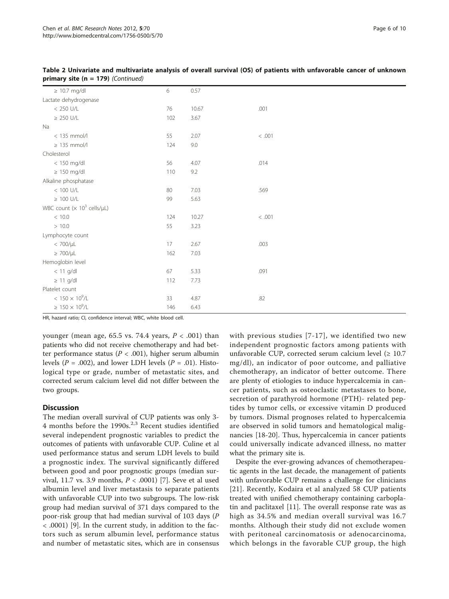| 76  | 0.57  |                                                                                                                         |
|-----|-------|-------------------------------------------------------------------------------------------------------------------------|
|     |       |                                                                                                                         |
|     |       |                                                                                                                         |
|     | 10.67 | .001                                                                                                                    |
| 102 |       |                                                                                                                         |
|     |       |                                                                                                                         |
| 55  |       | $<.001\,$                                                                                                               |
| 124 |       |                                                                                                                         |
|     |       |                                                                                                                         |
| 56  |       | .014                                                                                                                    |
| 110 |       |                                                                                                                         |
|     |       |                                                                                                                         |
| 80  |       | .569                                                                                                                    |
| 99  |       |                                                                                                                         |
|     |       |                                                                                                                         |
| 124 |       | $<.001$                                                                                                                 |
| 55  |       |                                                                                                                         |
|     |       |                                                                                                                         |
| 17  |       | .003                                                                                                                    |
| 162 |       |                                                                                                                         |
|     |       |                                                                                                                         |
| 67  |       | .091                                                                                                                    |
| 112 |       |                                                                                                                         |
|     |       |                                                                                                                         |
| 33  |       | .82                                                                                                                     |
| 146 |       |                                                                                                                         |
|     |       | 3.67<br>2.07<br>9.0<br>4.07<br>$9.2\,$<br>7.03<br>5.63<br>10.27<br>3.23<br>2.67<br>7.03<br>5.33<br>7.73<br>4.87<br>6.43 |

Table 2 Univariate and multivariate analysis of overall survival (OS) of patients with unfavorable cancer of unknown primary site ( $n = 179$ ) (Continued)

HR, hazard ratio; CI, confidence interval; WBC, white blood cell.

younger (mean age, 65.5 vs. 74.4 years,  $P < .001$ ) than patients who did not receive chemotherapy and had better performance status ( $P < .001$ ), higher serum albumin levels ( $P = .002$ ), and lower LDH levels ( $P = .01$ ). Histological type or grade, number of metastatic sites, and corrected serum calcium level did not differ between the two groups.

#### **Discussion**

The median overall survival of CUP patients was only 3- 4 months before the 1990s. $^{2,3}$  Recent studies identified several independent prognostic variables to predict the outcomes of patients with unfavorable CUP. Culine et al used performance status and serum LDH levels to build a prognostic index. The survival significantly differed between good and poor prognostic groups (median survival, 11.7 vs. 3.9 months,  $P < .0001$  [\[7](#page-8-0)]. Seve et al used albumin level and liver metastasis to separate patients with unfavorable CUP into two subgroups. The low-risk group had median survival of 371 days compared to the poor-risk group that had median survival of 103 days (P < .0001) [[9\]](#page-9-0). In the current study, in addition to the factors such as serum albumin level, performance status and number of metastatic sites, which are in consensus with previous studies [[7-](#page-8-0)[17\]](#page-9-0), we identified two new independent prognostic factors among patients with unfavorable CUP, corrected serum calcium level  $(≥ 10.7$ mg/dl), an indicator of poor outcome, and palliative chemotherapy, an indicator of better outcome. There are plenty of etiologies to induce hypercalcemia in cancer patients, such as osteoclastic metastases to bone, secretion of parathyroid hormone (PTH)- related peptides by tumor cells, or excessive vitamin D produced by tumors. Dismal prognoses related to hypercalcemia are observed in solid tumors and hematological malignancies [\[18](#page-9-0)-[20\]](#page-9-0). Thus, hypercalcemia in cancer patients could universally indicate advanced illness, no matter what the primary site is.

Despite the ever-growing advances of chemotherapeutic agents in the last decade, the management of patients with unfavorable CUP remains a challenge for clinicians [[21](#page-9-0)]. Recently, Kodaira et al analyzed 58 CUP patients treated with unified chemotherapy containing carboplatin and paclitaxel [[11](#page-9-0)]. The overall response rate was as high as 34.5% and median overall survival was 16.7 months. Although their study did not exclude women with peritoneal carcinomatosis or adenocarcinoma, which belongs in the favorable CUP group, the high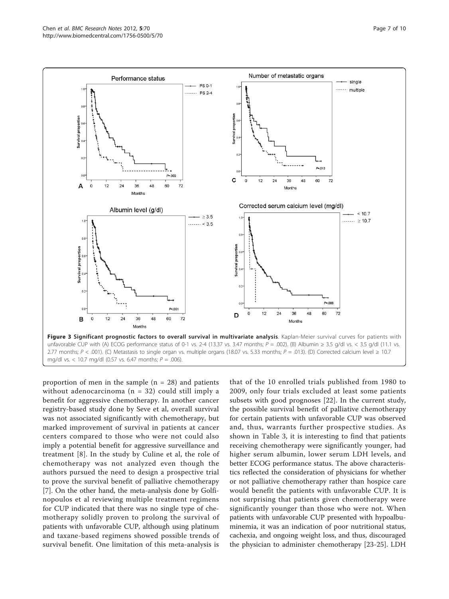<span id="page-6-0"></span>

proportion of men in the sample  $(n = 28)$  and patients without adenocarcinoma ( $n = 32$ ) could still imply a benefit for aggressive chemotherapy. In another cancer registry-based study done by Seve et al, overall survival was not associated significantly with chemotherapy, but marked improvement of survival in patients at cancer centers compared to those who were not could also imply a potential benefit for aggressive surveillance and treatment [\[8](#page-8-0)]. In the study by Culine et al, the role of chemotherapy was not analyzed even though the authors pursued the need to design a prospective trial to prove the survival benefit of palliative chemotherapy [[7\]](#page-8-0). On the other hand, the meta-analysis done by Golfinopoulos et al reviewing multiple treatment regimens for CUP indicated that there was no single type of chemotherapy solidly proven to prolong the survival of patients with unfavorable CUP, although using platinum and taxane-based regimens showed possible trends of survival benefit. One limitation of this meta-analysis is

that of the 10 enrolled trials published from 1980 to 2009, only four trials excluded at least some patients subsets with good prognoses [\[22](#page-9-0)]. In the current study, the possible survival benefit of palliative chemotherapy for certain patients with unfavorable CUP was observed and, thus, warrants further prospective studies. As shown in Table [3](#page-8-0), it is interesting to find that patients receiving chemotherapy were significantly younger, had higher serum albumin, lower serum LDH levels, and better ECOG performance status. The above characteristics reflected the consideration of physicians for whether or not palliative chemotherapy rather than hospice care would benefit the patients with unfavorable CUP. It is not surprising that patients given chemotherapy were significantly younger than those who were not. When patients with unfavorable CUP presented with hypoalbuminemia, it was an indication of poor nutritional status, cachexia, and ongoing weight loss, and thus, discouraged the physician to administer chemotherapy [\[23](#page-9-0)-[25\]](#page-9-0). LDH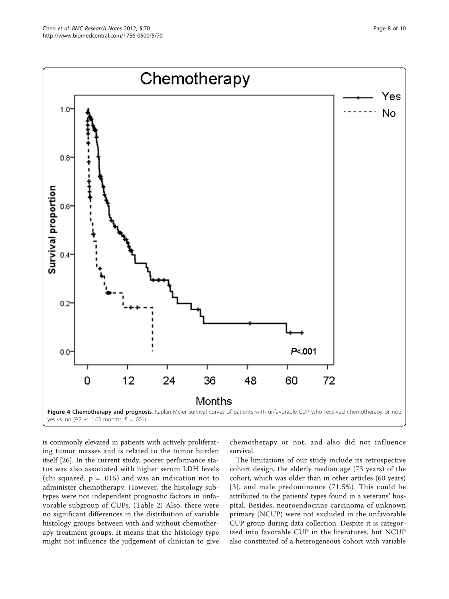<span id="page-7-0"></span>Chen et al. BMC Research Notes 2012, 5:70



is commonly elevated in patients with actively proliferating tumor masses and is related to the tumor burden itself [[26](#page-9-0)]. In the current study, poorer performance status was also associated with higher serum LDH levels (chi squared,  $p = .015$ ) and was an indication not to administer chemotherapy. However, the histology subtypes were not independent prognostic factors in unfavorable subgroup of CUPs. (Table [2\)](#page-4-0) Also, there were no significant differences in the distribution of variable histology groups between with and without chemotherapy treatment groups. It means that the histology type might not influence the judgement of clinician to give

chemotherapy or not, and also did not influence survival.

The limitations of our study include its retrospective cohort design, the elderly median age (73 years) of the cohort, which was older than in other articles (60 years) [[3\]](#page-8-0), and male predominance (71.5%). This could be attributed to the patients' types found in a veterans' hospital. Besides, neuroendocrine carcinoma of unknown primary (NCUP) were not excluded in the unfavorable CUP group during data collection. Despite it is categorized into favorable CUP in the literatures, but NCUP also constituted of a heterogeneous cohort with variable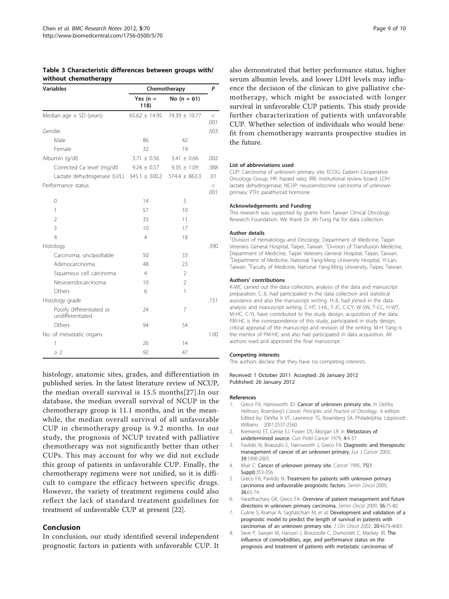<span id="page-8-0"></span>

| Table 3 Characteristic differences between groups with/ |  |  |
|---------------------------------------------------------|--|--|
| without chemotherapy                                    |  |  |

| <b>Variables</b>                                                | Chemotherapy      |                 |                 |
|-----------------------------------------------------------------|-------------------|-----------------|-----------------|
|                                                                 | Yes $(n =$<br>118 | No $(n = 61)$   |                 |
| Median age $\pm$ SD (years)                                     | $65.62 \pm 14.95$ | 74.39 ± 10.77   | $\,<$<br>.001   |
| Gender                                                          |                   |                 | .603            |
| Male                                                            | 86                | 42              |                 |
| Female                                                          | 32                | 19              |                 |
| Albumin (g/dl)                                                  | $3.71 \pm 0.56$   | $3.41 \pm 0.66$ | .002            |
| Corrected Ca level (mg/dl)                                      | $9.24 \pm 0.57$   | $9.35 \pm 1.09$ | .388            |
| Lactate dehydrogenase (U/L) 345.1 $\pm$ 300.2 574.4 $\pm$ 863.3 |                   |                 | .01             |
| Performance status                                              |                   |                 | $\,<\,$<br>.001 |
| 0                                                               | 14                | 5               |                 |
| 1                                                               | 57                | 10              |                 |
| $\mathcal{P}$                                                   | 33                | 11              |                 |
| 3                                                               | 10                | 17              |                 |
| $\overline{4}$                                                  | $\overline{4}$    | 18              |                 |
| Histology                                                       |                   |                 | .390            |
| Carcinoma, unclassifiable                                       | 50                | 33              |                 |
| Adenocarcinoma                                                  | 48                | 23              |                 |
| Squamous cell carcinoma                                         | $\overline{4}$    | $\overline{2}$  |                 |
| Neuroendocarcinoma                                              | 10                | $\overline{2}$  |                 |
| Others                                                          | 6                 | 1               |                 |
| Histology grade                                                 |                   |                 | .151            |
| Poorly differentiated or<br>undifferentiated                    | 24                | 7               |                 |
| Others                                                          | 94                | 54              |                 |
| No. of metastatic organs                                        |                   |                 | 1.00            |
| 1                                                               | 26                | 14              |                 |
| $\geq$ 2                                                        | 92                | 47              |                 |

histology, anatomic sites, grades, and differentiation in published series. In the latest literature review of NCUP, the median overall survival is 15.5 months[[27](#page-9-0)].In our database, the median overall survival of NCUP in the chemotherapy group is 11.1 months, and in the meanwhile, the median overall survival of all unfavorable CUP in chemotherapy group is 9.2 months. In our study, the prognosis of NCUP treated with palliative chemotherapy was not significantly better than other CUPs. This may account for why we did not exclude this group of patients in unfavorable CUP. Finally, the chemotherapy regimens were not unified, so it is difficult to compare the efficacy between specific drugs. However, the variety of treatment regimens could also reflect the lack of standard treatment guidelines for treatment of unfavorable CUP at present [\[22\]](#page-9-0).

#### Conclusion

In conclusion, our study identified several independent prognostic factors in patients with unfavorable CUP. It also demonstrated that better performance status, higher serum albumin levels, and lower LDH levels may influence the decision of the clinican to give palliative chemotherapy, which might be associated with longer survival in unfavorable CUP patients. This study provide further characterization of patients with unfavorable CUP. Whether selection of individuals who would benefit from chemotherapy warrants prospective studies in the future.

#### List of abbreviations used

CUP: Carcinoma of unknown primary site; ECOG: Eastern Cooperative Oncology Group; HR: hazard ratio; IRB: institutional review board; LDH: lactate dehydrogenase; NCUP: neuroendocrine carcinoma of unknown primary; PTH: parathyroid hormone.

#### Acknowledgements and Funding

This research was supported by grants from Taiwan Clinical Oncology Research Foundation. We thank Dr. Jih-Tung Pai for data collection.

#### Author details

<sup>1</sup> Division of Hematology and Oncology, Department of Medicine, Taipei Veterans General Hospital, Taipei, Taiwan. <sup>2</sup>Division of Transfusion Medicine, Department of Medicine, Taipei Veterans General Hospital, Taipei, Taiwan. <sup>3</sup>Department of Medicine, National Yang-Ming University Hospital, Yi-Lan Taiwan. <sup>4</sup> Faculty of Medicine, National Yang-Ming University, Taipei, Taiwan

#### Authors' contributions

K-WC carried out the data collection, analysis of the data and manuscript preparation. C-JL had participated in the data collection and statistical assistance and also the manuscript writing. H-JL had joined in the data analysis and manuscript writing. C-HT, J-HL, T-JC, C-CY, W-SW, T-CC, H-WT, M-HC, C-YL have contributed to the study design, acquisition of the data. PM-HC is the correspondence of this study, participated in study design, critical appraisal of the manuscript and revision of the writing. M-H Yang is the mentor of PM-HC and also had participated in data acquisition. All authors read and approved the final manuscript.

#### Competing interests

The authors declare that they have no competing interests.

Received: 1 October 2011 Accepted: 26 January 2012 Published: 26 January 2012

#### References

- 1. Greco FA, Hainsworth JD: Cancer of unknown primary site. In DeVita, Hellman, Rosenberg's Cancer: Principles and Practice of Oncology.. 6 edition. Edited by: DeVita Jr VT, Lawrence TS, Rosenberg SA. Philadelphia: Lippincott Williams 2001:2537-2560.
- 2. Krementz ET, Cerise EJ, Foster DS, Morgan LR Jr: [Metastases of](http://www.ncbi.nlm.nih.gov/pubmed/391494?dopt=Abstract) [undetermined source.](http://www.ncbi.nlm.nih.gov/pubmed/391494?dopt=Abstract) Curr Probl Cancer 1979, 4:4-37.
- 3. Pavlidis N, Briasoulis E, Hainsworth J, Greco FA: [Diagnostic and therapeutic](http://www.ncbi.nlm.nih.gov/pubmed/12957453?dopt=Abstract) [management of cancer of an unknown primary.](http://www.ncbi.nlm.nih.gov/pubmed/12957453?dopt=Abstract) Eur J Cancer 2003, 39:1990-2005.
- 4. Muir C: [Cancer of unknown primary site.](http://www.ncbi.nlm.nih.gov/pubmed/8001006?dopt=Abstract) Cancer 1995, 75(1) Suppl):353-356.
- Greco FA, Pavlidis N: [Treatment for patients with unknown primary](http://www.ncbi.nlm.nih.gov/pubmed/19179190?dopt=Abstract) [carcinoma and unfavorable prognostic factors.](http://www.ncbi.nlm.nih.gov/pubmed/19179190?dopt=Abstract) Semin Oncol 2009, 36:65-74.
- 6. Varadhachary GR, Greco FA: [Overview of patient management and future](http://www.ncbi.nlm.nih.gov/pubmed/19179191?dopt=Abstract) [directions in unknown primary carcinoma.](http://www.ncbi.nlm.nih.gov/pubmed/19179191?dopt=Abstract) Semin Oncol 2009, 36:75-80.
- 7. Culine S, Kramar A, Saghatchian M, et al: [Development and validation of a](http://www.ncbi.nlm.nih.gov/pubmed/12488413?dopt=Abstract) [prognostic model to predict the length of survival in patients with](http://www.ncbi.nlm.nih.gov/pubmed/12488413?dopt=Abstract) [carcinomas of an unknown primary site.](http://www.ncbi.nlm.nih.gov/pubmed/12488413?dopt=Abstract) J Clin Oncol 2002, 20:4679-4683.
- 8. Seve P, Sawyer M, Hanson J, Broussolle C, Dumontet C, Mackey JR: [The](http://www.ncbi.nlm.nih.gov/pubmed/16583433?dopt=Abstract) [influence of comorbidities, age, and performance status on the](http://www.ncbi.nlm.nih.gov/pubmed/16583433?dopt=Abstract) [prognosis and treatment of patients with metastatic carcinomas of](http://www.ncbi.nlm.nih.gov/pubmed/16583433?dopt=Abstract)